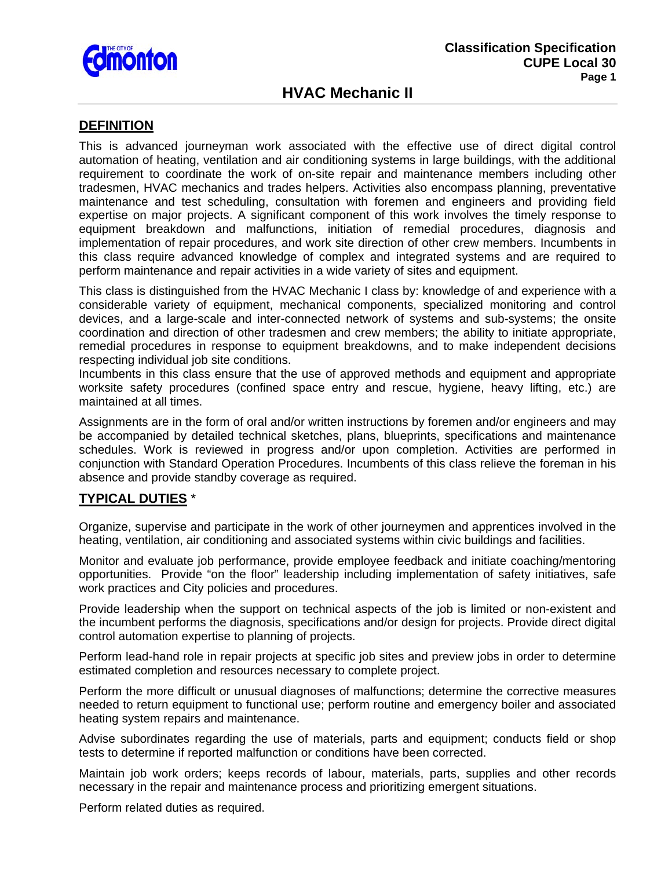

# **HVAC Mechanic II**

## **DEFINITION**

This is advanced journeyman work associated with the effective use of direct digital control automation of heating, ventilation and air conditioning systems in large buildings, with the additional requirement to coordinate the work of on-site repair and maintenance members including other tradesmen, HVAC mechanics and trades helpers. Activities also encompass planning, preventative maintenance and test scheduling, consultation with foremen and engineers and providing field expertise on major projects. A significant component of this work involves the timely response to equipment breakdown and malfunctions, initiation of remedial procedures, diagnosis and implementation of repair procedures, and work site direction of other crew members. Incumbents in this class require advanced knowledge of complex and integrated systems and are required to perform maintenance and repair activities in a wide variety of sites and equipment.

This class is distinguished from the HVAC Mechanic I class by: knowledge of and experience with a considerable variety of equipment, mechanical components, specialized monitoring and control devices, and a large-scale and inter-connected network of systems and sub-systems; the onsite coordination and direction of other tradesmen and crew members; the ability to initiate appropriate, remedial procedures in response to equipment breakdowns, and to make independent decisions respecting individual job site conditions.

Incumbents in this class ensure that the use of approved methods and equipment and appropriate worksite safety procedures (confined space entry and rescue, hygiene, heavy lifting, etc.) are maintained at all times.

Assignments are in the form of oral and/or written instructions by foremen and/or engineers and may be accompanied by detailed technical sketches, plans, blueprints, specifications and maintenance schedules. Work is reviewed in progress and/or upon completion. Activities are performed in conjunction with Standard Operation Procedures. Incumbents of this class relieve the foreman in his absence and provide standby coverage as required.

### **TYPICAL DUTIES** \*

Organize, supervise and participate in the work of other journeymen and apprentices involved in the heating, ventilation, air conditioning and associated systems within civic buildings and facilities.

Monitor and evaluate job performance, provide employee feedback and initiate coaching/mentoring opportunities. Provide "on the floor" leadership including implementation of safety initiatives, safe work practices and City policies and procedures.

Provide leadership when the support on technical aspects of the job is limited or non-existent and the incumbent performs the diagnosis, specifications and/or design for projects. Provide direct digital control automation expertise to planning of projects.

Perform lead-hand role in repair projects at specific job sites and preview jobs in order to determine estimated completion and resources necessary to complete project.

Perform the more difficult or unusual diagnoses of malfunctions; determine the corrective measures needed to return equipment to functional use; perform routine and emergency boiler and associated heating system repairs and maintenance.

Advise subordinates regarding the use of materials, parts and equipment; conducts field or shop tests to determine if reported malfunction or conditions have been corrected.

Maintain job work orders; keeps records of labour, materials, parts, supplies and other records necessary in the repair and maintenance process and prioritizing emergent situations.

Perform related duties as required.